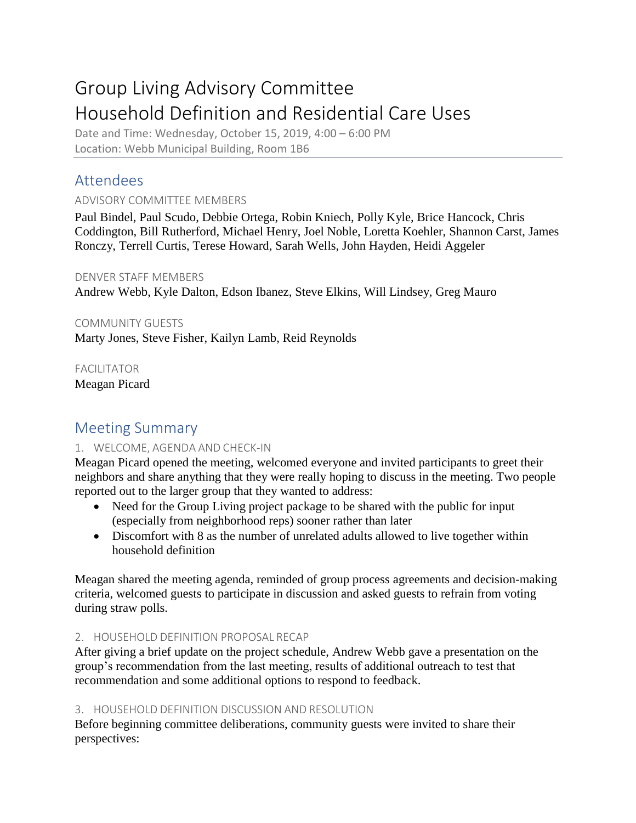# Group Living Advisory Committee Household Definition and Residential Care Uses

Date and Time: Wednesday, October 15, 2019, 4:00 – 6:00 PM Location: Webb Municipal Building, Room 1B6

# Attendees

## ADVISORY COMMITTEE MEMBERS

Paul Bindel, Paul Scudo, Debbie Ortega, Robin Kniech, Polly Kyle, Brice Hancock, Chris Coddington, Bill Rutherford, Michael Henry, Joel Noble, Loretta Koehler, Shannon Carst, James Ronczy, Terrell Curtis, Terese Howard, Sarah Wells, John Hayden, Heidi Aggeler

### DENVER STAFF MEMBERS

Andrew Webb, Kyle Dalton, Edson Ibanez, Steve Elkins, Will Lindsey, Greg Mauro

### COMMUNITY GUESTS

Marty Jones, Steve Fisher, Kailyn Lamb, Reid Reynolds

FACILITATOR Meagan Picard

# Meeting Summary

## 1. WELCOME, AGENDA AND CHECK-IN

Meagan Picard opened the meeting, welcomed everyone and invited participants to greet their neighbors and share anything that they were really hoping to discuss in the meeting. Two people reported out to the larger group that they wanted to address:

- Need for the Group Living project package to be shared with the public for input (especially from neighborhood reps) sooner rather than later
- Discomfort with 8 as the number of unrelated adults allowed to live together within household definition

Meagan shared the meeting agenda, reminded of group process agreements and decision-making criteria, welcomed guests to participate in discussion and asked guests to refrain from voting during straw polls.

### 2. HOUSEHOLD DEFINITION PROPOSAL RECAP

After giving a brief update on the project schedule, Andrew Webb gave a presentation on the group's recommendation from the last meeting, results of additional outreach to test that recommendation and some additional options to respond to feedback.

### 3. HOUSEHOLD DEFINITION DISCUSSION AND RESOLUTION

Before beginning committee deliberations, community guests were invited to share their perspectives: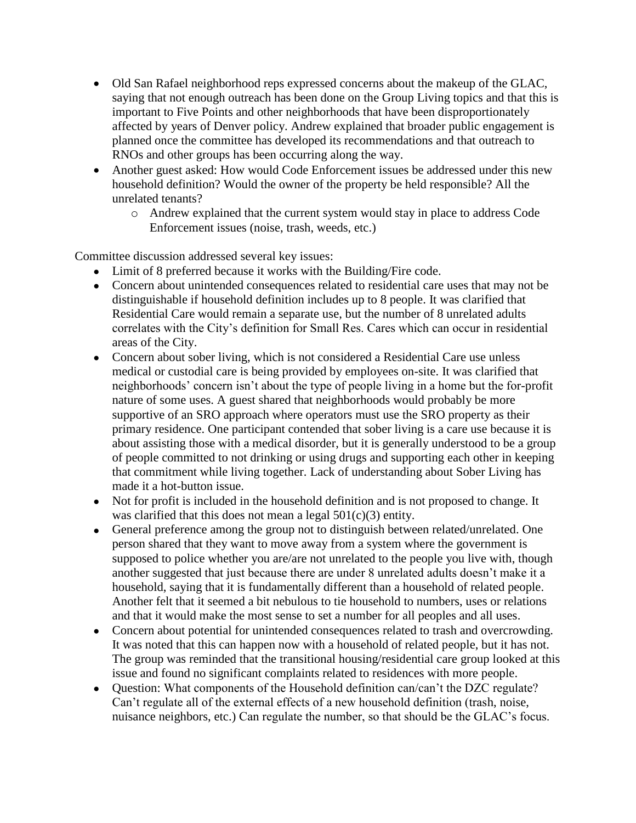- Old San Rafael neighborhood reps expressed concerns about the makeup of the GLAC, saying that not enough outreach has been done on the Group Living topics and that this is important to Five Points and other neighborhoods that have been disproportionately affected by years of Denver policy. Andrew explained that broader public engagement is planned once the committee has developed its recommendations and that outreach to RNOs and other groups has been occurring along the way.
- Another guest asked: How would Code Enforcement issues be addressed under this new household definition? Would the owner of the property be held responsible? All the unrelated tenants?
	- o Andrew explained that the current system would stay in place to address Code Enforcement issues (noise, trash, weeds, etc.)

Committee discussion addressed several key issues:

- Limit of 8 preferred because it works with the Building/Fire code.
- Concern about unintended consequences related to residential care uses that may not be distinguishable if household definition includes up to 8 people. It was clarified that Residential Care would remain a separate use, but the number of 8 unrelated adults correlates with the City's definition for Small Res. Cares which can occur in residential areas of the City.
- Concern about sober living, which is not considered a Residential Care use unless medical or custodial care is being provided by employees on-site. It was clarified that neighborhoods' concern isn't about the type of people living in a home but the for-profit nature of some uses. A guest shared that neighborhoods would probably be more supportive of an SRO approach where operators must use the SRO property as their primary residence. One participant contended that sober living is a care use because it is about assisting those with a medical disorder, but it is generally understood to be a group of people committed to not drinking or using drugs and supporting each other in keeping that commitment while living together. Lack of understanding about Sober Living has made it a hot-button issue.
- Not for profit is included in the household definition and is not proposed to change. It was clarified that this does not mean a legal  $501(c)(3)$  entity.
- General preference among the group not to distinguish between related/unrelated. One person shared that they want to move away from a system where the government is supposed to police whether you are/are not unrelated to the people you live with, though another suggested that just because there are under 8 unrelated adults doesn't make it a household, saying that it is fundamentally different than a household of related people. Another felt that it seemed a bit nebulous to tie household to numbers, uses or relations and that it would make the most sense to set a number for all peoples and all uses.
- Concern about potential for unintended consequences related to trash and overcrowding. It was noted that this can happen now with a household of related people, but it has not. The group was reminded that the transitional housing/residential care group looked at this issue and found no significant complaints related to residences with more people.
- Question: What components of the Household definition can/can't the DZC regulate? Can't regulate all of the external effects of a new household definition (trash, noise, nuisance neighbors, etc.) Can regulate the number, so that should be the GLAC's focus.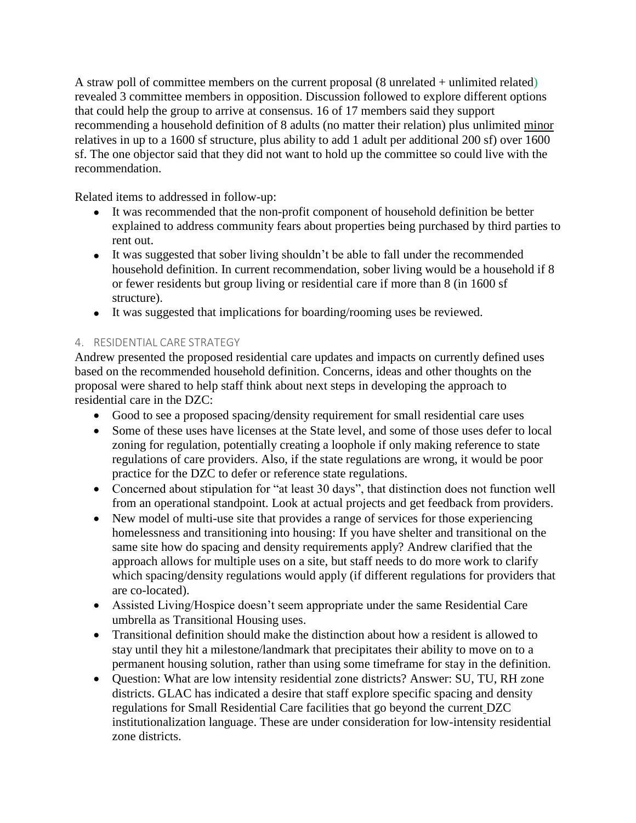A straw poll of committee members on the current proposal  $(8$  unrelated  $+$  unlimited related) revealed 3 committee members in opposition. Discussion followed to explore different options that could help the group to arrive at consensus. 16 of 17 members said they support recommending a household definition of 8 adults (no matter their relation) plus unlimited minor relatives in up to a 1600 sf structure, plus ability to add 1 adult per additional 200 sf) over 1600 sf. The one objector said that they did not want to hold up the committee so could live with the recommendation.

Related items to addressed in follow-up:

- It was recommended that the non-profit component of household definition be better explained to address community fears about properties being purchased by third parties to rent out.
- It was suggested that sober living shouldn't be able to fall under the recommended household definition. In current recommendation, sober living would be a household if 8 or fewer residents but group living or residential care if more than 8 (in 1600 sf structure).
- It was suggested that implications for boarding/rooming uses be reviewed.

### 4. RESIDENTIAL CARE STRATEGY

Andrew presented the proposed residential care updates and impacts on currently defined uses based on the recommended household definition. Concerns, ideas and other thoughts on the proposal were shared to help staff think about next steps in developing the approach to residential care in the DZC:

- Good to see a proposed spacing/density requirement for small residential care uses
- Some of these uses have licenses at the State level, and some of those uses defer to local zoning for regulation, potentially creating a loophole if only making reference to state regulations of care providers. Also, if the state regulations are wrong, it would be poor practice for the DZC to defer or reference state regulations.
- Concerned about stipulation for "at least 30 days", that distinction does not function well from an operational standpoint. Look at actual projects and get feedback from providers.
- New model of multi-use site that provides a range of services for those experiencing homelessness and transitioning into housing: If you have shelter and transitional on the same site how do spacing and density requirements apply? Andrew clarified that the approach allows for multiple uses on a site, but staff needs to do more work to clarify which spacing/density regulations would apply (if different regulations for providers that are co-located).
- Assisted Living/Hospice doesn't seem appropriate under the same Residential Care umbrella as Transitional Housing uses.
- Transitional definition should make the distinction about how a resident is allowed to stay until they hit a milestone/landmark that precipitates their ability to move on to a permanent housing solution, rather than using some timeframe for stay in the definition.
- Question: What are low intensity residential zone districts? Answer: SU, TU, RH zone districts. GLAC has indicated a desire that staff explore specific spacing and density regulations for Small Residential Care facilities that go beyond the current DZC institutionalization language. These are under consideration for low-intensity residential zone districts.